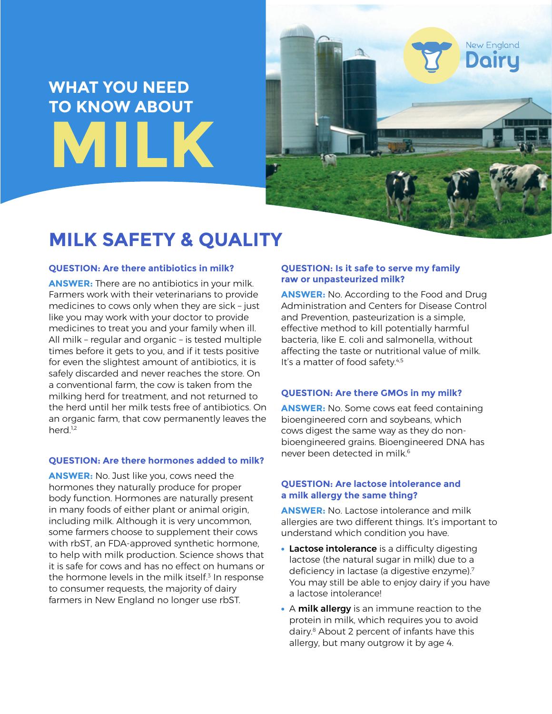# **WHAT YOU NEED TO KNOW ABOUT MILK**



# **MILK SAFETY & QUALITY**

# **QUESTION: Are there antibiotics in milk?**

**ANSWER:** There are no antibiotics in your milk. Farmers work with their veterinarians to provide medicines to cows only when they are sick – just like you may work with your doctor to provide medicines to treat you and your family when ill. All milk – regular and organic – is tested multiple times before it gets to you, and if it tests positive for even the slightest amount of antibiotics, it is safely discarded and never reaches the store. On a conventional farm, the cow is taken from the milking herd for treatment, and not returned to the herd until her milk tests free of antibiotics. On an organic farm, that cow permanently leaves the herd.<sup>1,2</sup>

# **QUESTION: Are there hormones added to milk?**

**ANSWER:** No. Just like you, cows need the hormones they naturally produce for proper body function. Hormones are naturally present in many foods of either plant or animal origin, including milk. Although it is very uncommon, some farmers choose to supplement their cows with rbST, an FDA-approved synthetic hormone, to help with milk production. Science shows that it is safe for cows and has no effect on humans or the hormone levels in the milk itself.<sup>3</sup> In response to consumer requests, the majority of dairy farmers in New England no longer use rbST.

# **QUESTION: Is it safe to serve my family raw or unpasteurized milk?**

**ANSWER:** No. According to the Food and Drug Administration and Centers for Disease Control and Prevention, pasteurization is a simple, effective method to kill potentially harmful bacteria, like E. coli and salmonella, without affecting the taste or nutritional value of milk. It's a matter of food safety.<sup>4,5</sup>

#### **QUESTION: Are there GMOs in my milk?**

**ANSWER:** No. Some cows eat feed containing bioengineered corn and soybeans, which cows digest the same way as they do nonbioengineered grains. Bioengineered DNA has never been detected in milk<sup>6</sup>

#### **QUESTION: Are lactose intolerance and a milk allergy the same thing?**

**ANSWER:** No. Lactose intolerance and milk allergies are two different things. It's important to understand which condition you have.

- Lactose intolerance is a difficulty digesting lactose (the natural sugar in milk) due to a deficiency in lactase (a digestive enzyme).<sup>7</sup> You may still be able to enjoy dairy if you have a lactose intolerance!
- A milk allergy is an immune reaction to the protein in milk, which requires you to avoid dairy.8 About 2 percent of infants have this allergy, but many outgrow it by age 4.